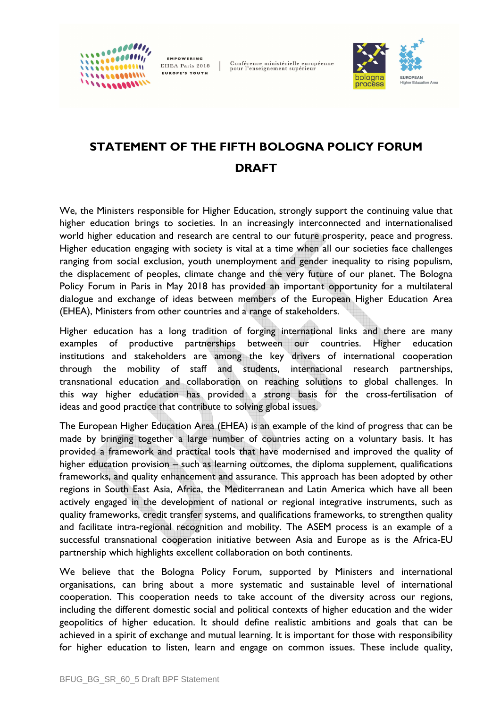EMPOWERING EHEA Paris 2018 **EUROPE'S YOUTH** 

0000000011

 $1111000001111$ 

Conférence ministérielle européenne<br>pour l'enseignement supérieur



## **STATEMENT OF THE FIFTH BOLOGNA POLICY FORUM DRAFT**

We, the Ministers responsible for Higher Education, strongly support the continuing value that higher education brings to societies. In an increasingly interconnected and internationalised world higher education and research are central to our future prosperity, peace and progress. Higher education engaging with society is vital at a time when all our societies face challenges ranging from social exclusion, youth unemployment and gender inequality to rising populism, the displacement of peoples, climate change and the very future of our planet. The Bologna Policy Forum in Paris in May 2018 has provided an important opportunity for a multilateral dialogue and exchange of ideas between members of the European Higher Education Area (EHEA), Ministers from other countries and a range of stakeholders.

Higher education has a long tradition of forging international links and there are many examples of productive partnerships between our countries. Higher education institutions and stakeholders are among the key drivers of international cooperation through the mobility of staff and students, international research partnerships, transnational education and collaboration on reaching solutions to global challenges. In this way higher education has provided a strong basis for the cross-fertilisation of ideas and good practice that contribute to solving global issues.

The European Higher Education Area (EHEA) is an example of the kind of progress that can be made by bringing together a large number of countries acting on a voluntary basis. It has provided a framework and practical tools that have modernised and improved the quality of higher education provision – such as learning outcomes, the diploma supplement, qualifications frameworks, and quality enhancement and assurance. This approach has been adopted by other regions in South East Asia, Africa, the Mediterranean and Latin America which have all been actively engaged in the development of national or regional integrative instruments, such as quality frameworks, credit transfer systems, and qualifications frameworks, to strengthen quality and facilitate intra-regional recognition and mobility. The ASEM process is an example of a successful transnational cooperation initiative between Asia and Europe as is the Africa-EU partnership which highlights excellent collaboration on both continents.

We believe that the Bologna Policy Forum, supported by Ministers and international organisations, can bring about a more systematic and sustainable level of international cooperation. This cooperation needs to take account of the diversity across our regions, including the different domestic social and political contexts of higher education and the wider geopolitics of higher education. It should define realistic ambitions and goals that can be achieved in a spirit of exchange and mutual learning. It is important for those with responsibility for higher education to listen, learn and engage on common issues. These include quality,